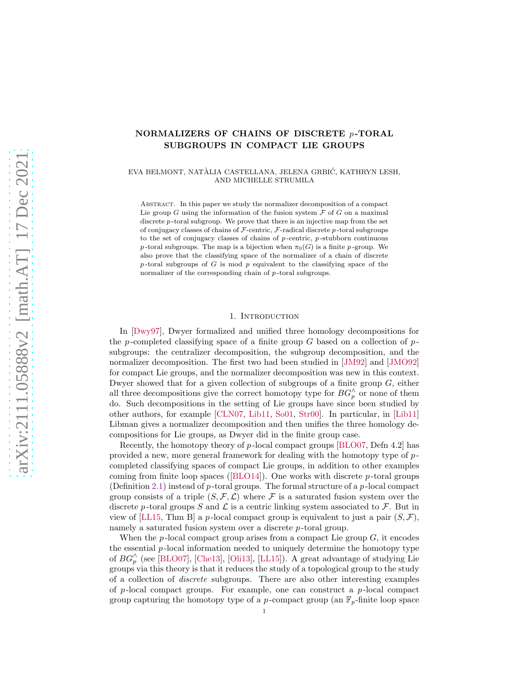# NORMALIZERS OF CHAINS OF DISCRETE  $p$ -TORAL SUBGROUPS IN COMPACT LIE GROUPS

EVA BELMONT, NATÀLIA CASTELLANA, JELENA GRBIĆ, KATHRYN LESH, AND MICHELLE STRUMILA

Abstract. In this paper we study the normalizer decomposition of a compact Lie group  $G$  using the information of the fusion system  $\mathcal F$  of  $G$  on a maximal discrete  $p$ -toral subgroup. We prove that there is an injective map from the set of conjugacy classes of chains of  $\mathcal F$ -centric,  $\mathcal F$ -radical discrete p-toral subgroups to the set of conjugacy classes of chains of  $p$ -centric,  $p$ -stubborn continuous p-toral subgroups. The map is a bijection when  $\pi_0(G)$  is a finite p-group. We also prove that the classifying space of the normalizer of a chain of discrete  $p$ -toral subgroups of G is mod  $p$  equivalent to the classifying space of the normalizer of the corresponding chain of p-toral subgroups.

### 1. INTRODUCTION

In [\[Dwy97\]](#page-16-0), Dwyer formalized and unified three homology decompositions for the p-completed classifying space of a finite group G based on a collection of  $p$ subgroups: the centralizer decomposition, the subgroup decomposition, and the normalizer decomposition. The first two had been studied in [\[JM92\]](#page-16-1) and [\[JMO92\]](#page-16-2) for compact Lie groups, and the normalizer decomposition was new in this context. Dwyer showed that for a given collection of subgroups of a finite group  $G$ , either all three decompositions give the correct homotopy type for  $BG_p^{\wedge}$  or none of them do. Such decompositions in the setting of Lie groups have since been studied by other authors, for example [\[CLN07,](#page-16-3) [Lib11,](#page-17-0) [So01,](#page-17-1) [Str00\]](#page-17-2). In particular, in [\[Lib11\]](#page-17-0) Libman gives a normalizer decomposition and then unifies the three homology decompositions for Lie groups, as Dwyer did in the finite group case.

Recently, the homotopy theory of  $p$ -local compact groups [\[BLO07,](#page-16-4) Defn 4.2] has provided a new, more general framework for dealing with the homotopy type of  $p$ completed classifying spaces of compact Lie groups, in addition to other examples coming from finite loop spaces ([\[BLO14\]](#page-16-5)). One works with discrete  $p$ -toral groups (Definition [2.1\)](#page-3-0) instead of  $p$ -toral groups. The formal structure of a  $p$ -local compact group consists of a triple  $(S, \mathcal{F}, \mathcal{L})$  where F is a saturated fusion system over the discrete p-toral groups S and  $\mathcal L$  is a centric linking system associated to  $\mathcal F$ . But in view of [\[LL15,](#page-17-3) Thm B] a p-local compact group is equivalent to just a pair  $(S, \mathcal{F})$ , namely a saturated fusion system over a discrete p-toral group.

When the p-local compact group arises from a compact Lie group  $G$ , it encodes the essential  $p$ -local information needed to uniquely determine the homotopy type of  $BG_p^{\wedge}$  (see [\[BLO07\]](#page-16-4), [\[Che13\]](#page-16-6), [\[Oli13\]](#page-17-4), [\[LL15\]](#page-17-3)). A great advantage of studying Lie groups via this theory is that it reduces the study of a topological group to the study of a collection of discrete subgroups. There are also other interesting examples of p-local compact groups. For example, one can construct a p-local compact group capturing the homotopy type of a p-compact group (an  $\mathbb{F}_p$ -finite loop space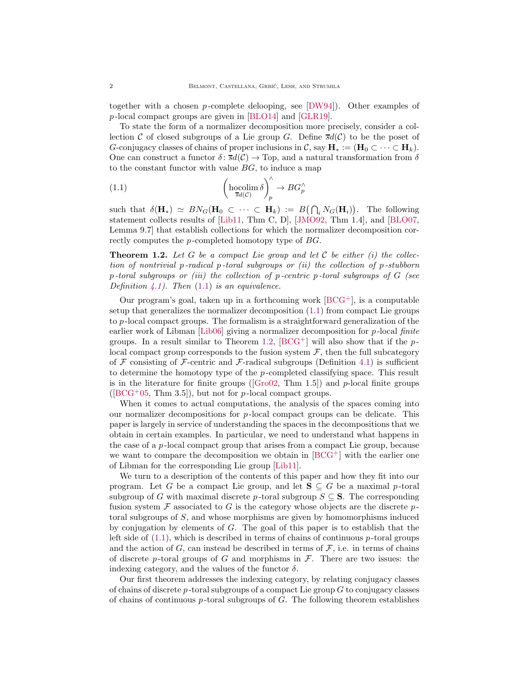together with a chosen p-complete delooping, see  $[DW94]$ . Other examples of p -local compact groups are given in [\[BLO14\]](#page-16-5) and [\[GLR19\]](#page-16-8).

To state the form of a normalizer decomposition more precisely, consider a collection C of closed subgroups of a Lie group G. Define  $\overline{sd}(\mathcal{C})$  to be the poset of G-conjugacy classes of chains of proper inclusions in C, say  $\mathbf{H}_* := (\mathbf{H}_0 \subset \cdots \subset \mathbf{H}_k)$ . One can construct a functor  $\delta$ :  $\overline{s}d(\mathcal{C}) \to$  Top, and a natural transformation from  $\delta$ to the constant functor with value  $BG$ , to induce a map

<span id="page-1-0"></span>(1.1) 
$$
\left(\underset{\overline{s}d(\mathcal{C})}{\text{hocolim }\delta}\right)^{\wedge}_{p} \to BG_{p}^{\wedge}
$$

such that  $\delta(\mathbf{H}_{*}) \simeq BN_G(\mathbf{H}_0 \subset \cdots \subset \mathbf{H}_k) := B(\bigcap_i N_G(\mathbf{H}_i)).$  The following statement collects results of [\[Lib11,](#page-17-0) Thm C, D], [\[JMO92,](#page-16-2) Thm 1.4], and [\[BLO07,](#page-16-4) Lemma 9.7] that establish collections for which the normalizer decomposition correctly computes the p-completed homotopy type of BG.

<span id="page-1-1"></span>**Theorem 1.2.** Let G be a compact Lie group and let C be either  $(i)$  the collection of nontrivial p-radical p-toral subgroups or  $(ii)$  the collection of p-stubborn  $p$ -toral subgroups or (iii) the collection of  $p$ -centric  $p$ -toral subgroups of  $G$  (see Definition [4.1\)](#page-8-0). Then  $(1.1)$  is an equivalence.

Our program's goal, taken up in a forthcoming work  $[BCG^+]$ , is a computable setup that generalizes the normalizer decomposition [\(1.1\)](#page-1-0) from compact Lie groups to p -local compact groups. The formalism is a straightforward generalization of the earlier work of Libman [\[Lib06\]](#page-17-5) giving a normalizer decomposition for  $p$ -local finite groups. In a result similar to Theorem [1.2,](#page-1-1)  $[BCG^+]$  will also show that if the plocal compact group corresponds to the fusion system  $\mathcal{F}$ , then the full subcategory of F consisting of F-centric and F-radical subgroups (Definition [4.1\)](#page-8-0) is sufficient to determine the homotopy type of the  $p$ -completed classifying space. This result is in the literature for finite groups ( $\lbrack \text{Gro02}, \text{ Thm 1.5} \rbrack$ ) and p-local finite groups  $([BCG<sup>+</sup>05, Thm 3.5]),$  $([BCG<sup>+</sup>05, Thm 3.5]),$  $([BCG<sup>+</sup>05, Thm 3.5]),$  but not for p-local compact groups.

When it comes to actual computations, the analysis of the spaces coming into our normalizer decompositions for  $p$ -local compact groups can be delicate. This paper is largely in service of understanding the spaces in the decompositions that we obtain in certain examples. In particular, we need to understand what happens in the case of a  $p$ -local compact group that arises from a compact Lie group, because we want to compare the decomposition we obtain in  $[BCG^+]$  with the earlier one of Libman for the corresponding Lie group [\[Lib11\]](#page-17-0).

We turn to a description of the contents of this paper and how they fit into our program. Let G be a compact Lie group, and let  $S \subseteq G$  be a maximal p-toral subgroup of G with maximal discrete p-toral subgroup  $S \subseteq S$ . The corresponding fusion system  $\mathcal F$  associated to G is the category whose objects are the discrete ptoral subgroups of S, and whose morphisms are given by homomorphisms induced by conjugation by elements of  $G$ . The goal of this paper is to establish that the left side of  $(1.1)$ , which is described in terms of chains of continuous p-toral groups and the action of G, can instead be described in terms of  $\mathcal F$ , i.e. in terms of chains of discrete p-toral groups of G and morphisms in  $\mathcal{F}$ . There are two issues: the indexing category, and the values of the functor  $\delta$ .

Our first theorem addresses the indexing category, by relating conjugacy classes of chains of discrete p-toral subgroups of a compact Lie group  $G$  to conjugacy classes of chains of continuous  $p$ -toral subgroups of  $G$ . The following theorem establishes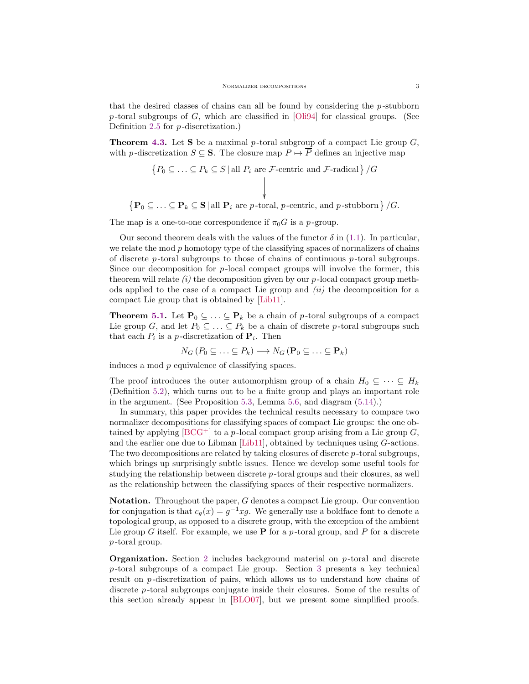that the desired classes of chains can all be found by considering the  $p$ -stubborn p-toral subgroups of G, which are classified in [\[Oli94\]](#page-17-6) for classical groups. (See Definition [2.5](#page-4-0) for p -discretization.)

**Theorem [4.3.](#page-9-0)** Let **S** be a maximal p-toral subgroup of a compact Lie group  $G$ , with p-discretization  $S \subseteq S$ . The closure map  $P \mapsto \overline{P}$  defines an injective map

$$
\{P_0 \subseteq \ldots \subseteq P_k \subseteq S \mid \text{all } P_i \text{ are } \mathcal{F}\text{-centric and } \mathcal{F}\text{-radical }\}/G
$$

 $\{P_0 \subseteq \ldots \subseteq P_k \subseteq S \mid \text{all } P_i \text{ are } p\text{-toral}, p\text{-centric, and } p\text{-stubborn}\}\}/G.$ 

The map is a one-to-one correspondence if  $\pi_0 G$  is a p-group.

Our second theorem deals with the values of the functor  $\delta$  in [\(1.1\)](#page-1-0). In particular, we relate the mod  $p$  homotopy type of the classifying spaces of normalizers of chains of discrete  $p$ -toral subgroups to those of chains of continuous  $p$ -toral subgroups. Since our decomposition for  $p$ -local compact groups will involve the former, this theorem will relate  $(i)$  the decomposition given by our p-local compact group methods applied to the case of a compact Lie group and  $(ii)$  the decomposition for a compact Lie group that is obtained by [\[Lib11\]](#page-17-0).

**Theorem [5.1.](#page-13-0)** Let  $\mathbf{P}_0 \subseteq \ldots \subseteq \mathbf{P}_k$  be a chain of p-toral subgroups of a compact Lie group G, and let  $P_0 \subseteq \ldots \subseteq P_k$  be a chain of discrete p-toral subgroups such that each  $P_i$  is a p-discretization of  $P_i$ . Then

 $N_G(P_0 \subseteq \ldots \subseteq P_k) \longrightarrow N_G(\mathbf{P}_0 \subseteq \ldots \subseteq \mathbf{P}_k)$ 

induces a mod p equivalence of classifying spaces.

The proof introduces the outer automorphism group of a chain  $H_0 \subseteq \cdots \subseteq H_k$ (Definition [5.2\)](#page-13-1), which turns out to be a finite group and plays an important role in the argument. (See Proposition [5.3,](#page-13-2) Lemma [5.6,](#page-14-0) and diagram [\(5.14\)](#page-16-12).)

In summary, this paper provides the technical results necessary to compare two normalizer decompositions for classifying spaces of compact Lie groups: the one obtained by applying  $[\text{BCG}^+]$  to a p-local compact group arising from a Lie group G, and the earlier one due to Libman [\[Lib11\]](#page-17-0), obtained by techniques using G-actions. The two decompositions are related by taking closures of discrete  $p$ -toral subgroups, which brings up surprisingly subtle issues. Hence we develop some useful tools for studying the relationship between discrete p -toral groups and their closures, as well as the relationship between the classifying spaces of their respective normalizers.

**Notation.** Throughout the paper,  $G$  denotes a compact Lie group. Our convention for conjugation is that  $c_g(x) = g^{-1}xg$ . We generally use a boldface font to denote a topological group, as opposed to a discrete group, with the exception of the ambient Lie group G itself. For example, we use  $P$  for a p-toral group, and P for a discrete p -toral group.

**Organization.** Section [2](#page-3-1) includes background material on p-toral and discrete  $p$ -toral subgroups of a compact Lie group. Section [3](#page-5-0) presents a key technical result on p-discretization of pairs, which allows us to understand how chains of discrete p -toral subgroups conjugate inside their closures. Some of the results of this section already appear in [\[BLO07\]](#page-16-4), but we present some simplified proofs.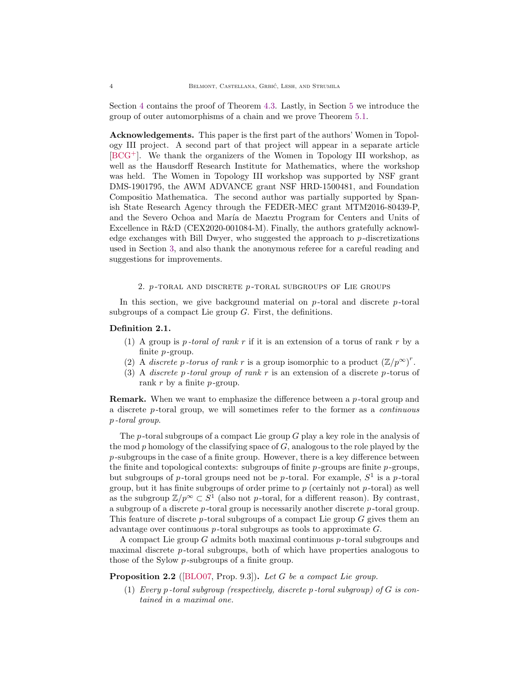Section [4](#page-8-1) contains the proof of Theorem [4.3.](#page-9-0) Lastly, in Section [5](#page-12-0) we introduce the group of outer automorphisms of a chain and we prove Theorem [5.1.](#page-13-0)

Acknowledgements. This paper is the first part of the authors' Women in Topology III project. A second part of that project will appear in a separate article [\[BCG](#page-16-9)<sup>+</sup>]. We thank the organizers of the Women in Topology III workshop, as well as the Hausdorff Research Institute for Mathematics, where the workshop was held. The Women in Topology III workshop was supported by NSF grant DMS-1901795, the AWM ADVANCE grant NSF HRD-1500481, and Foundation Compositio Mathematica. The second author was partially supported by Spanish State Research Agency through the FEDER-MEC grant MTM2016-80439-P, and the Severo Ochoa and María de Maeztu Program for Centers and Units of Excellence in R&D (CEX2020-001084-M). Finally, the authors gratefully acknowledge exchanges with Bill Dwyer, who suggested the approach to p -discretizations used in Section [3,](#page-5-0) and also thank the anonymous referee for a careful reading and suggestions for improvements.

### 2.  $p$ -toral and discrete  $p$ -toral subgroups of Lie groups

<span id="page-3-1"></span>In this section, we give background material on  $p$ -toral and discrete  $p$ -toral subgroups of a compact Lie group  $G$ . First, the definitions.

### <span id="page-3-0"></span>Definition 2.1.

- (1) A group is p-toral of rank r if it is an extension of a torus of rank r by a finite  $p$ -group.
- (2) A discrete p-torus of rank r is a group isomorphic to a product  $(\mathbb{Z}/p^{\infty})^r$ .
- (3) A discrete p-toral group of rank r is an extension of a discrete p-torus of rank  $r$  by a finite  $p$ -group.

**Remark.** When we want to emphasize the difference between a  $p$ -toral group and a discrete p -toral group, we will sometimes refer to the former as a continuous p -toral group.

The  $p$ -toral subgroups of a compact Lie group  $G$  play a key role in the analysis of the mod  $p$  homology of the classifying space of  $G$ , analogous to the role played by the  $p$ -subgroups in the case of a finite group. However, there is a key difference between the finite and topological contexts: subgroups of finite  $p$ -groups are finite  $p$ -groups, but subgroups of p-toral groups need not be p-toral. For example,  $S^1$  is a p-toral group, but it has finite subgroups of order prime to  $p$  (certainly not  $p$ -toral) as well as the subgroup  $\mathbb{Z}/p^{\infty} \subset S^1$  (also not p-toral, for a different reason). By contrast, a subgroup of a discrete  $p$ -toral group is necessarily another discrete  $p$ -toral group. This feature of discrete p-toral subgroups of a compact Lie group  $G$  gives them an advantage over continuous  $p$ -toral subgroups as tools to approximate  $G$ .

A compact Lie group  $G$  admits both maximal continuous  $p$ -toral subgroups and maximal discrete  $p$ -toral subgroups, both of which have properties analogous to those of the Sylow *p*-subgroups of a finite group.

<span id="page-3-2"></span>Proposition 2.2 ([\[BLO07,](#page-16-4) Prop. 9.3]). Let G be a compact Lie group.

(1) Every p-toral subgroup (respectively, discrete p-toral subgroup) of  $G$  is contained in a maximal one.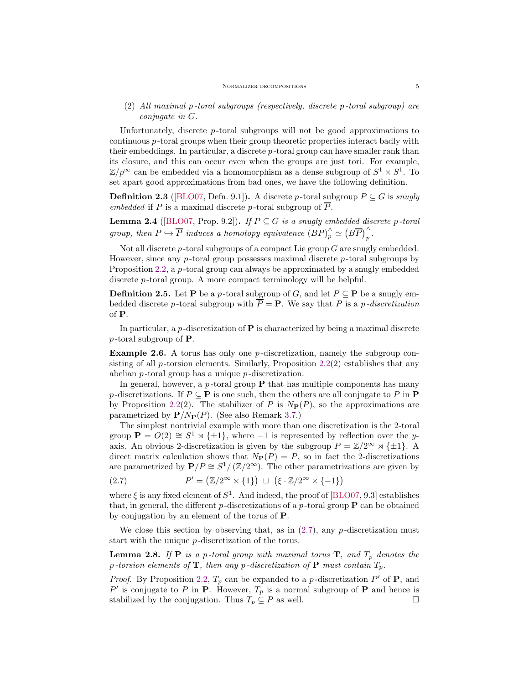# (2) All maximal p -toral subgroups (respectively, discrete p -toral subgroup) are conjugate in G.

Unfortunately, discrete  $p$ -toral subgroups will not be good approximations to  $\alpha$  continuous  $p$ -toral groups when their group theoretic properties interact badly with their embeddings. In particular, a discrete  $p$ -toral group can have smaller rank than its closure, and this can occur even when the groups are just tori. For example,  $\mathbb{Z}/p^{\infty}$  can be embedded via a homomorphism as a dense subgroup of  $S^1 \times S^1$ . To set apart good approximations from bad ones, we have the following definition.

**Definition 2.3** ([\[BLO07,](#page-16-4) Defn. 9.1]). A discrete p-toral subgroup  $P \subseteq G$  is snugly embedded if P is a maximal discrete p-toral subgroup of  $\overline{P}$ .

<span id="page-4-4"></span>**Lemma 2.4** ([\[BLO07,](#page-16-4) Prop. 9.2]). If  $P \subseteq G$  is a snugly embedded discrete p-toral group, then  $P \hookrightarrow \overline{P}$  induces a homotopy equivalence  $(BP)_{p}^{\wedge} \simeq (B\overline{P})_{p}^{\wedge}$ .

Not all discrete  $p$ -toral subgroups of a compact Lie group  $G$  are snugly embedded. However, since any p-toral group possesses maximal discrete p-toral subgroups by Proposition [2.2,](#page-3-2) a  $p$ -toral group can always be approximated by a snugly embedded discrete *p*-toral group. A more compact terminology will be helpful.

<span id="page-4-0"></span>**Definition 2.5.** Let **P** be a p-toral subgroup of G, and let  $P \subseteq \mathbf{P}$  be a snugly embedded discrete p-toral subgroup with  $\overline{P} = P$ . We say that P is a p-discretization of P.

In particular, a  $p$ -discretization of  $P$  is characterized by being a maximal discrete  $p$ -toral subgroup of **P**.

<span id="page-4-3"></span>Example 2.6. A torus has only one p -discretization, namely the subgroup consisting of all  $p$ -torsion elements. Similarly, Proposition [2.2\(](#page-3-2)2) establishes that any abelian p -toral group has a unique p -discretization.

In general, however, a  $p$ -toral group  $P$  that has multiple components has many p-discretizations. If  $P \subseteq \mathbf{P}$  is one such, then the others are all conjugate to P in  $\mathbf{P}$ by Proposition [2.2\(](#page-3-2)2). The stabilizer of P is  $N_P(P)$ , so the approximations are parametrized by  $\mathbf{P}/N_{\mathbf{P}}(P)$ . (See also Remark [3.7.](#page-7-0))

The simplest nontrivial example with more than one discretization is the 2-toral group  $P = O(2) \cong S^1 \rtimes {\pm 1}$ , where -1 is represented by reflection over the yaxis. An obvious 2-discretization is given by the subgroup  $P = \mathbb{Z}/2^{\infty} \rtimes {\pm 1}$ . A direct matrix calculation shows that  $N_{\mathbf{P}}(P) = P$ , so in fact the 2-discretizations are parametrized by  $\mathbf{P}/P \cong S^1/\left(\mathbb{Z}/2^{\infty}\right)$ . The other parametrizations are given by

<span id="page-4-1"></span>(2.7) 
$$
P' = (\mathbb{Z}/2^{\infty} \times \{1\}) \sqcup (\xi \cdot \mathbb{Z}/2^{\infty} \times \{-1\})
$$

where  $\xi$  is any fixed element of  $S^1$ . And indeed, the proof of [\[BLO07,](#page-16-4) 9.3] establishes that, in general, the different  $p$ -discretizations of a  $p$ -toral group  $P$  can be obtained by conjugation by an element of the torus of P.

We close this section by observing that, as in  $(2.7)$ , any p-discretization must start with the unique p -discretization of the torus.

<span id="page-4-2"></span>**Lemma 2.8.** If **P** is a p-toral group with maximal torus **T**, and  $T_p$  denotes the p-torsion elements of  $\mathbf T$ , then any p-discretization of  $\mathbf P$  must contain  $T_p$ .

*Proof.* By Proposition [2.2,](#page-3-2)  $T_p$  can be expanded to a p-discretization P' of **P**, and P' is conjugate to P in **P**. However,  $T_p$  is a normal subgroup of **P** and hence is stabilized by the conjugation. Thus  $T_p \subseteq P$  as well.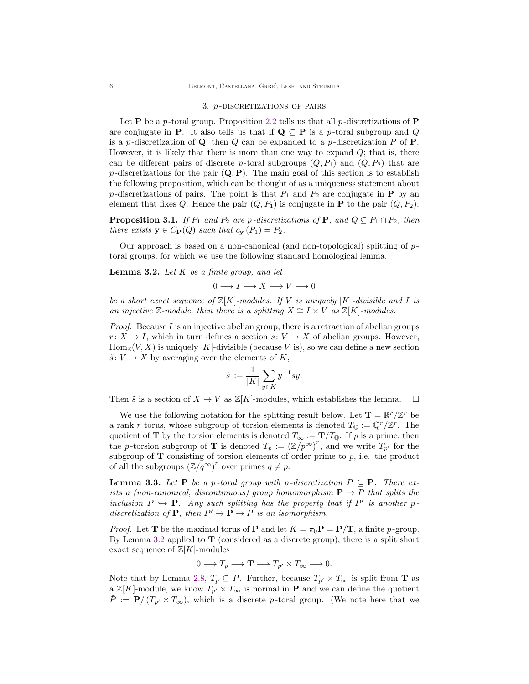#### 3. *p*-DISCRETIZATIONS OF PAIRS

<span id="page-5-0"></span>Let **P** be a p-toral group. Proposition [2.2](#page-3-2) tells us that all p-discretizations of **P** are conjugate in **P**. It also tells us that if  $\mathbf{Q} \subseteq \mathbf{P}$  is a p-toral subgroup and Q is a p-discretization of  $Q$ , then  $Q$  can be expanded to a p-discretization  $P$  of  $P$ . However, it is likely that there is more than one way to expand  $Q$ ; that is, there can be different pairs of discrete p-toral subgroups  $(Q, P_1)$  and  $(Q, P_2)$  that are p-discretizations for the pair  $(Q, P)$ . The main goal of this section is to establish the following proposition, which can be thought of as a uniqueness statement about p-discretizations of pairs. The point is that  $P_1$  and  $P_2$  are conjugate in **P** by an element that fixes Q. Hence the pair  $(Q, P_1)$  is conjugate in **P** to the pair  $(Q, P_2)$ .

<span id="page-5-3"></span>**Proposition 3.1.** If  $P_1$  and  $P_2$  are p-discretizations of **P**, and  $Q \subseteq P_1 \cap P_2$ , then there exists  $y \in C_{\mathbf{P}}(Q)$  such that  $c_{\mathbf{y}}(P_1) = P_2$ .

Our approach is based on a non-canonical (and non-topological) splitting of  $p$ toral groups, for which we use the following standard homological lemma.

<span id="page-5-1"></span>**Lemma 3.2.** Let  $K$  be a finite group, and let

$$
0\longrightarrow I\longrightarrow X\longrightarrow V\longrightarrow 0
$$

be a short exact sequence of  $\mathbb{Z}[K]$ -modules. If V is uniquely  $|K|$ -divisible and I is an injective  $\mathbb{Z}\text{-module}$ , then there is a splitting  $X \cong I \times V$  as  $\mathbb{Z}[K]$ -modules.

*Proof.* Because I is an injective abelian group, there is a retraction of abelian groups  $r: X \to I$ , which in turn defines a section  $s: V \to X$  of abelian groups. However,  $\text{Hom}_{\mathbb{Z}}(V, X)$  is uniquely |K|-divisible (because V is), so we can define a new section  $\tilde{s}: V \to X$  by averaging over the elements of K,

$$
\tilde{s} := \frac{1}{|K|} \sum_{y \in K} y^{-1} s y.
$$

Then  $\tilde{s}$  is a section of  $X \to V$  as  $\mathbb{Z}[K]$ -modules, which establishes the lemma.

We use the following notation for the splitting result below. Let  $\mathbf{T} = \mathbb{R}^r / \mathbb{Z}^r$  be a rank r torus, whose subgroup of torsion elements is denoted  $T_{\mathbb{Q}} := \mathbb{Q}^r / \mathbb{Z}^r$ . The quotient of **T** by the torsion elements is denoted  $T_{\infty} := \mathbf{T}/T_{\mathbb{Q}}$ . If p is a prime, then the p-torsion subgroup of **T** is denoted  $T_p := (\mathbb{Z}/p^{\infty})^r$ , and we write  $T_{p'}$  for the subgroup of  **consisting of torsion elements of order prime to**  $p$ **, i.e. the product** of all the subgroups  $(\mathbb{Z}/q^{\infty})^r$  over primes  $q \neq p$ .

<span id="page-5-2"></span>**Lemma 3.3.** Let **P** be a p-toral group with p-discretization  $P \subseteq P$ . There exists a (non-canonical, discontinuous) group homomorphism  $P \to P$  that splits the inclusion  $P \hookrightarrow P$ . Any such splitting has the property that if P' is another pdiscretization of **P**, then  $P' \to \mathbf{P} \to P$  is an isomorphism.

*Proof.* Let **T** be the maximal torus of **P** and let  $K = \pi_0 \mathbf{P} = \mathbf{P}/\mathbf{T}$ , a finite p-group. By Lemma [3.2](#page-5-1) applied to  $\mathbf T$  (considered as a discrete group), there is a split short exact sequence of  $\mathbb{Z}[K]$ -modules

$$
0 \longrightarrow T_p \longrightarrow \mathbf{T} \longrightarrow T_{p'} \times T_{\infty} \longrightarrow 0.
$$

Note that by Lemma [2.8,](#page-4-2)  $T_p \subseteq P$ . Further, because  $T_{p'} \times T_{\infty}$  is split from **T** as a  $\mathbb{Z}[K]$ -module, we know  $T_{p'} \times T_{\infty}$  is normal in **P** and we can define the quotient  $\tilde{P} := \mathbf{P}/(T_{p'} \times T_{\infty})$ , which is a discrete p-toral group. (We note here that we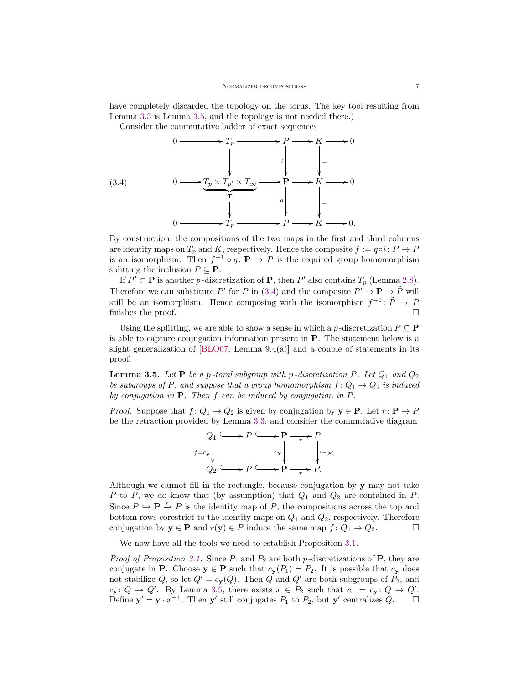have completely discarded the topology on the torus. The key tool resulting from Lemma [3.3](#page-5-2) is Lemma [3.5,](#page-6-0) and the topology is not needed there.)

<span id="page-6-1"></span>Consider the commutative ladder of exact sequences

(3.4)  
\n
$$
0 \longrightarrow T_p \longrightarrow P \longrightarrow K \longrightarrow 0
$$
\n
$$
\downarrow
$$
\n
$$
0 \longrightarrow \underbrace{T_p \times T_{p'} \times T_{\infty}}_{\mathbf{T}} \longrightarrow \mathbf{P} \longrightarrow K \longrightarrow 0
$$
\n
$$
\downarrow
$$
\n
$$
\downarrow
$$
\n
$$
\downarrow
$$
\n
$$
\downarrow
$$
\n
$$
\downarrow
$$
\n
$$
\downarrow
$$
\n
$$
\downarrow
$$
\n
$$
\downarrow
$$
\n
$$
\downarrow
$$
\n
$$
\downarrow
$$
\n
$$
\downarrow
$$
\n
$$
\downarrow
$$
\n
$$
\downarrow
$$
\n
$$
\downarrow
$$
\n
$$
\downarrow
$$
\n
$$
\downarrow
$$
\n
$$
\downarrow
$$
\n
$$
\downarrow
$$
\n
$$
\downarrow
$$
\n
$$
\downarrow
$$
\n
$$
\downarrow
$$
\n
$$
\downarrow
$$
\n
$$
\downarrow
$$
\n
$$
\downarrow
$$
\n
$$
\downarrow
$$
\n
$$
\downarrow
$$
\n
$$
\downarrow
$$
\n
$$
\downarrow
$$
\n
$$
\downarrow
$$
\n
$$
\downarrow
$$
\n
$$
\downarrow
$$
\n
$$
\downarrow
$$
\n
$$
\downarrow
$$
\n
$$
\downarrow
$$
\n
$$
\downarrow
$$
\n
$$
\downarrow
$$
\n
$$
\downarrow
$$
\n
$$
\downarrow
$$
\n
$$
\downarrow
$$
\n
$$
\downarrow
$$
\n
$$
\downarrow
$$
\n
$$
\downarrow
$$
\n
$$
\downarrow
$$
\n
$$
\downarrow
$$
\n
$$
\downarrow
$$
\n
$$
\downarrow
$$
\n
$$
\downarrow
$$
\n
$$
\downarrow
$$
\n
$$
\downarrow
$$
\n
$$
\downarrow
$$
\n
$$
\downarrow
$$
\n
$$
\downarrow
$$
\n
$$
\downarrow
$$
\n
$$
\downarrow
$$
\n
$$
\downarrow
$$
\n
$$
\down
$$

By construction, the compositions of the two maps in the first and third columns are identity maps on  $T_p$  and K, respectively. Hence the composite  $f := q \circ i : P \to \overline{P}$ is an isomorphism. Then  $f^{-1} \circ q \colon \mathbf{P} \to P$  is the required group homomorphism splitting the inclusion  $P \subseteq \mathbf{P}$ .

If  $P' \subset \mathbf{P}$  is another p-discretization of  $\mathbf{P}$ , then  $P'$  also contains  $T_p$  (Lemma [2.8\)](#page-4-2). Therefore we can substitute P' for P in [\(3.4\)](#page-6-1) and the composite  $P' \to \mathbf{P} \to \tilde{P}$  will still be an isomorphism. Hence composing with the isomorphism  $f^{-1}$ :  $\tilde{P} \to P$ finishes the proof.  $\Box$ 

Using the splitting, we are able to show a sense in which a p-discretization  $P \subseteq \mathbf{P}$ is able to capture conjugation information present in P. The statement below is a slight generalization of  $[BLO07, Lemma 9.4(a)]$  and a couple of statements in its proof.

<span id="page-6-0"></span>**Lemma 3.5.** Let  $P$  be a p-toral subgroup with p-discretization  $P$ . Let  $Q_1$  and  $Q_2$ be subgroups of P, and suppose that a group homomorphism  $f: Q_1 \rightarrow Q_2$  is induced by conjugation in  $P$ . Then  $f$  can be induced by conjugation in  $P$ .

*Proof.* Suppose that  $f: Q_1 \to Q_2$  is given by conjugation by  $y \in P$ . Let  $r: P \to P$ be the retraction provided by Lemma [3.3,](#page-5-2) and consider the commutative diagram



Although we cannot fill in the rectangle, because conjugation by y may not take P to P, we do know that (by assumption) that  $Q_1$  and  $Q_2$  are contained in P. Since  $P \hookrightarrow \mathbf{P} \stackrel{r}{\rightarrow} P$  is the identity map of P, the compositions across the top and bottom rows corestrict to the identity maps on  $Q_1$  and  $Q_2$ , respectively. Therefore conjugation by  $y \in P$  and  $r(y) \in P$  induce the same map  $f: Q_1 \to Q_2$ .

We now have all the tools we need to establish Proposition [3.1.](#page-5-3)

*Proof of Proposition [3.1.](#page-5-3)* Since  $P_1$  and  $P_2$  are both p-discretizations of **P**, they are conjugate in **P**. Choose  $y \in \mathbf{P}$  such that  $c_y(P_1) = P_2$ . It is possible that  $c_y$  does not stabilize Q, so let  $Q' = c_{\mathbf{y}}(Q)$ . Then Q and Q' are both subgroups of  $P_2$ , and  $c_{\mathbf{y}}: Q \to Q'$ . By Lemma [3.5,](#page-6-0) there exists  $x \in P_2$  such that  $c_x = c_{\mathbf{y}}: Q \to Q'$ . Define  $y' = y \cdot x^{-1}$ . Then y' still conjugates  $P_1$  to  $P_2$ , but y' centralizes  $Q$ .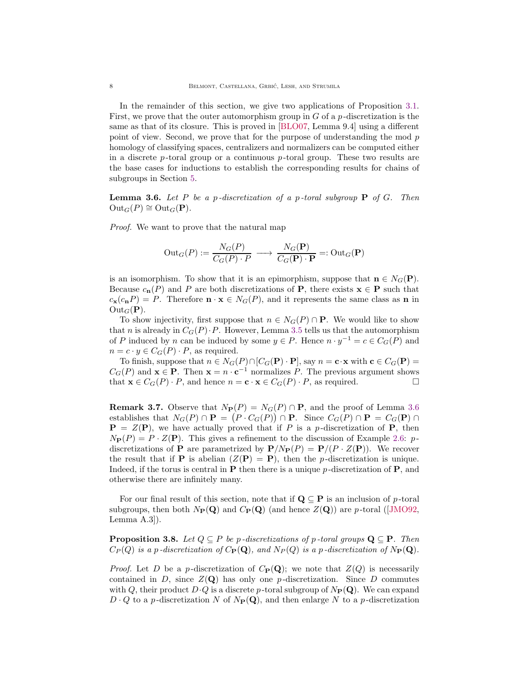In the remainder of this section, we give two applications of Proposition [3.1.](#page-5-3) First, we prove that the outer automorphism group in  $G$  of a  $p$ -discretization is the same as that of its closure. This is proved in [\[BLO07,](#page-16-4) Lemma 9.4] using a different point of view. Second, we prove that for the purpose of understanding the mod p homology of classifying spaces, centralizers and normalizers can be computed either in a discrete  $p$ -toral group or a continuous  $p$ -toral group. These two results are the base cases for inductions to establish the corresponding results for chains of subgroups in Section [5.](#page-12-0)

<span id="page-7-1"></span>**Lemma 3.6.** Let P be a p-discretization of a p-toral subgroup  $P$  of G. Then  $Out_G(P) \cong Out_G(\mathbf{P}).$ 

Proof. We want to prove that the natural map

$$
Out_G(P) := \frac{N_G(P)}{C_G(P) \cdot P} \longrightarrow \frac{N_G(\mathbf{P})}{C_G(\mathbf{P}) \cdot \mathbf{P}} =: Out_G(\mathbf{P})
$$

is an isomorphism. To show that it is an epimorphism, suppose that  $\mathbf{n} \in N_G(\mathbf{P})$ . Because  $c_n(P)$  and P are both discretizations of P, there exists  $\mathbf{x} \in \mathbf{P}$  such that  $c_{\mathbf{x}}(c_{\mathbf{n}}P) = P$ . Therefore  $\mathbf{n} \cdot \mathbf{x} \in N_G(P)$ , and it represents the same class as **n** in  $Out_G(P)$ .

To show injectivity, first suppose that  $n \in N_G(P) \cap \mathbf{P}$ . We would like to show that n is already in  $C_G(P) \cdot P$ . However, Lemma [3.5](#page-6-0) tells us that the automorphism of P induced by n can be induced by some  $y \in P$ . Hence  $n \cdot y^{-1} = c \in C_G(P)$  and  $n = c \cdot y \in C_G(P) \cdot P$ , as required.

To finish, suppose that  $n \in N_G(P) \cap [C_G(\mathbf{P}) \cdot \mathbf{P}]$ , say  $n = \mathbf{c} \cdot \mathbf{x}$  with  $\mathbf{c} \in C_G(\mathbf{P}) =$  $C_G(P)$  and  $\mathbf{x} \in \mathbf{P}$ . Then  $\mathbf{x} = n \cdot \mathbf{c}^{-1}$  normalizes P. The previous argument shows that  $\mathbf{x} \in C_G(P) \cdot P$ , and hence  $n = \mathbf{c} \cdot \mathbf{x} \in C_G(P) \cdot P$ , as required.

<span id="page-7-0"></span>**Remark 3.7.** Observe that  $N_{\mathbf{P}}(P) = N_G(P) \cap \mathbf{P}$ , and the proof of Lemma [3.6](#page-7-1) establishes that  $N_G(P) \cap \mathbf{P} = (P \cdot C_G(P)) \cap \mathbf{P}$ . Since  $C_G(P) \cap \mathbf{P} = C_G(\mathbf{P}) \cap \mathbf{P}$  $P = Z(P)$ , we have actually proved that if P is a p-discretization of P, then  $N_{\mathbf{P}}(P) = P \cdot Z(\mathbf{P})$ . This gives a refinement to the discussion of Example [2.6:](#page-4-3) pdiscretizations of **P** are parametrized by  $P/N_P(P) = P/(P \cdot Z(P))$ . We recover the result that if **P** is abelian  $(Z(\mathbf{P}) = \mathbf{P})$ , then the *p*-discretization is unique. Indeed, if the torus is central in  $P$  then there is a unique p-discretization of  $P$ , and otherwise there are infinitely many.

For our final result of this section, note that if  $\mathbf{Q} \subseteq \mathbf{P}$  is an inclusion of p-toral subgroups, then both  $N_{\mathbf{P}}(\mathbf{Q})$  and  $C_{\mathbf{P}}(\mathbf{Q})$  (and hence  $Z(\mathbf{Q})$ ) are p-toral ([\[JMO92,](#page-16-2) Lemma A.3]).

<span id="page-7-2"></span>**Proposition 3.8.** Let  $Q \subseteq P$  be p-discretizations of p-toral groups  $\mathbf{Q} \subseteq \mathbf{P}$ . Then  $C_P(Q)$  is a p-discretization of  $C_P(Q)$ , and  $N_P(Q)$  is a p-discretization of  $N_P(Q)$ .

*Proof.* Let D be a p-discretization of  $C_{\mathbf{P}}(\mathbf{Q})$ ; we note that  $Z(Q)$  is necessarily contained in  $D$ , since  $Z(Q)$  has only one p-discretization. Since  $D$  commutes with Q, their product  $D\cdot Q$  is a discrete p-toral subgroup of  $N_P(\mathbf{Q})$ . We can expand  $D \cdot Q$  to a p-discretization N of  $N_P(Q)$ , and then enlarge N to a p-discretization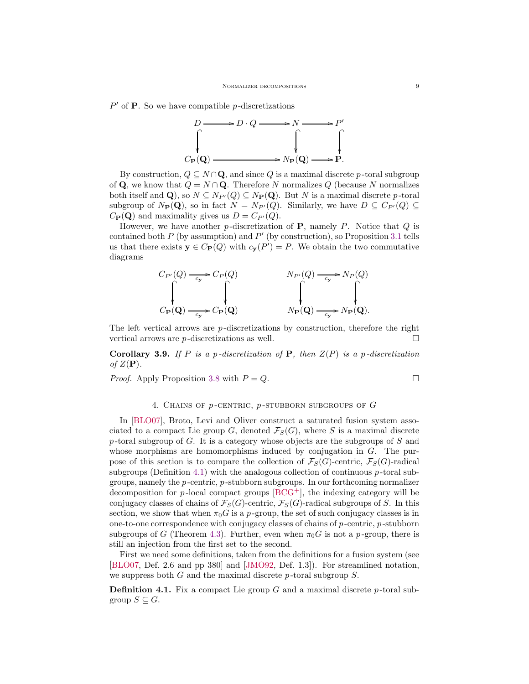$P'$  of **P**. So we have compatible p-discretizations



By construction,  $Q \subseteq N \cap \mathbf{Q}$ , and since Q is a maximal discrete p-toral subgroup of **Q**, we know that  $Q = N \cap \mathbf{Q}$ . Therefore N normalizes Q (because N normalizes both itself and Q), so  $N \subseteq N_{P}(Q) \subseteq N_{P}(Q)$ . But N is a maximal discrete p-toral subgroup of  $N_P(\mathbf{Q})$ , so in fact  $N = N_{P'}(Q)$ . Similarly, we have  $D \subseteq C_{P'}(Q) \subseteq$  $C_{\mathbf{P}}(\mathbf{Q})$  and maximality gives us  $D = C_{P'}(Q)$ .

However, we have another p-discretization of  $P$ , namely P. Notice that  $Q$  is contained both  $P$  (by assumption) and  $P'$  (by construction), so Proposition [3.1](#page-5-3) tells us that there exists  $y \in C_{\mathbf{P}}(Q)$  with  $c_{\mathbf{y}}(P') = P$ . We obtain the two commutative diagrams



The left vertical arrows are  $p$ -discretizations by construction, therefore the right vertical arrows are  $p$ -discretizations as well.  $\Box$ 

<span id="page-8-2"></span>**Corollary 3.9.** If P is a p-discretization of P, then  $Z(P)$  is a p-discretization of  $Z(\mathbf{P})$ .

<span id="page-8-1"></span>*Proof.* Apply Proposition [3.8](#page-7-2) with  $P = Q$ .

# 4. CHAINS OF  $p$ -CENTRIC,  $p$ -STUBBORN SUBGROUPS OF  $G$

In [\[BLO07\]](#page-16-4), Broto, Levi and Oliver construct a saturated fusion system associated to a compact Lie group G, denoted  $\mathcal{F}_S(G)$ , where S is a maximal discrete p-toral subgroup of  $G$ . It is a category whose objects are the subgroups of  $S$  and whose morphisms are homomorphisms induced by conjugation in G. The purpose of this section is to compare the collection of  $\mathcal{F}_{S}(G)$ -centric,  $\mathcal{F}_{S}(G)$ -radical subgroups (Definition [4.1\)](#page-8-0) with the analogous collection of continuous  $p$ -toral subgroups, namely the  $p$ -centric,  $p$ -stubborn subgroups. In our forthcoming normalizer decomposition for  $p$ -local compact groups  $[BCG^+]$ , the indexing category will be conjugacy classes of chains of  $\mathcal{F}_S(G)$ -centric,  $\mathcal{F}_S(G)$ -radical subgroups of S. In this section, we show that when  $\pi_0 G$  is a p-group, the set of such conjugacy classes is in one-to-one correspondence with conjugacy classes of chains of  $p$ -centric,  $p$ -stubborn subgroups of G (Theorem [4.3\)](#page-9-0). Further, even when  $\pi_0G$  is not a p-group, there is still an injection from the first set to the second.

First we need some definitions, taken from the definitions for a fusion system (see [\[BLO07,](#page-16-4) Def. 2.6 and pp 380] and [\[JMO92,](#page-16-2) Def. 1.3]). For streamlined notation, we suppress both  $G$  and the maximal discrete  $p$ -toral subgroup  $S$ .

<span id="page-8-0"></span>**Definition 4.1.** Fix a compact Lie group G and a maximal discrete p-toral subgroup  $S \subseteq G$ .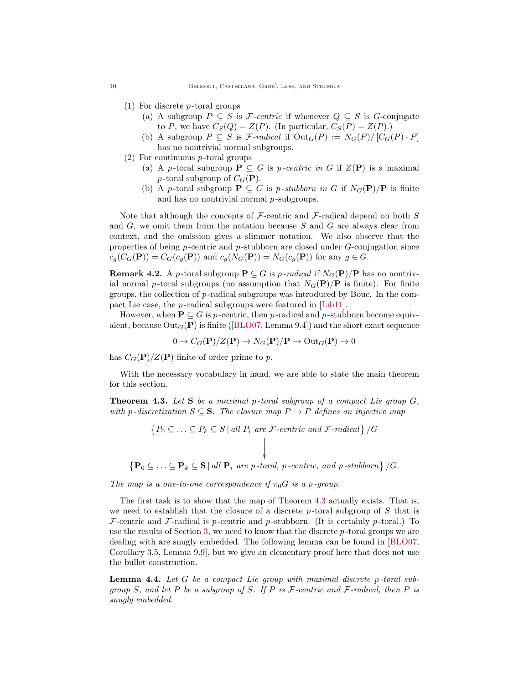- (1) For discrete p -toral groups
	- (a) A subgroup  $P \subseteq S$  is F-centric if whenever  $Q \subseteq S$  is G-conjugate to P, we have  $C_S(Q) = Z(P)$ . (In particular,  $C_S(P) = Z(P)$ .)
	- (b) A subgroup  $P \subseteq S$  is F-radical if  $Out_G(P) := N_G(P)/[C_G(P) \cdot P]$ has no nontrivial normal subgroups.
- $(2)$  For continuous *p*-toral groups
	- (a) A p-toral subgroup  $P \subseteq G$  is p-centric in G if  $Z(P)$  is a maximal p-toral subgroup of  $C_G(\mathbf{P})$ .
	- (b) A p-toral subgroup  $P \subseteq G$  is p-stubborn in G if  $N_G(P)/P$  is finite and has no nontrivial normal  $p$ -subgroups.

Note that although the concepts of F-centric and F-radical depend on both  $S$ and  $G$ , we omit them from the notation because  $S$  and  $G$  are always clear from context, and the omission gives a slimmer notation. We also observe that the properties of being  $p$ -centric and  $p$ -stubborn are closed under  $G$ -conjugation since  $c_q(C_G(\mathbf{P})) = C_G(c_q(\mathbf{P}))$  and  $c_q(N_G(\mathbf{P})) = N_G(c_q(\mathbf{P}))$  for any  $g \in G$ .

**Remark 4.2.** A p-toral subgroup  $P \subseteq G$  is p-radical if  $N_G(P)/P$  has no nontrivial normal p-toral subgroups (no assumption that  $N_G(\mathbf{P})/\mathbf{P}$  is finite). For finite groups, the collection of  $p$ -radical subgroups was introduced by Bouc. In the compact Lie case, the *p*-radical subgroups were featured in [\[Lib11\]](#page-17-0).

However, when  $P \subseteq G$  is p-centric, then p-radical and p-stubborn become equivalent, because  $Out_G(P)$  is finite ([\[BLO07,](#page-16-4) Lemma 9.4]) and the short exact sequence

$$
0 \to C_G(\mathbf{P})/Z(\mathbf{P}) \to N_G(\mathbf{P})/\mathbf{P} \to \text{Out}_G(\mathbf{P}) \to 0
$$

has  $C_G(\mathbf{P})/Z(\mathbf{P})$  finite of order prime to p.

With the necessary vocabulary in hand, we are able to state the main theorem for this section.

<span id="page-9-0"></span>**Theorem 4.3.** Let S be a maximal p-toral subgroup of a compact Lie group  $G$ , with p-discretization  $S \subseteq S$ . The closure map  $P \mapsto \overline{P}$  defines an injective map

$$
\{P_0 \subseteq \ldots \subseteq P_k \subseteq S \mid all \ P_i \ are \ \mathcal{F}\text{-centric and }\mathcal{F}\text{-radical}\}/G
$$
\n
$$
\left\{\mathbf{P}_0 \subseteq \ldots \subseteq \mathbf{P}_k \subseteq \mathbf{S} \mid all \ \mathbf{P}_i \ are \ p\text{-toral, } p\text{-centric, and } p\text{-stubborn}\}/G.
$$

The map is a one-to-one correspondence if  $\pi_0 G$  is a p-group.

The first task is to show that the map of Theorem [4.3](#page-9-0) actually exists. That is, we need to establish that the closure of a discrete  $p$ -toral subgroup of S that is  $\mathcal F$ -centric and  $\mathcal F$ -radical is p-centric and p-stubborn. (It is certainly p-toral.) To use the results of Section [3,](#page-5-0) we need to know that the discrete  $p$ -toral groups we are dealing with are snugly embedded. The following lemma can be found in [\[BLO07,](#page-16-4) Corollary 3.5, Lemma 9.9], but we give an elementary proof here that does not use the bullet construction.

<span id="page-9-1"></span>Lemma 4.4. Let G be a compact Lie group with maximal discrete p-toral subgroup S, and let P be a subgroup of S. If P is  $\mathcal F$ -centric and  $\mathcal F$ -radical, then P is snugly embedded.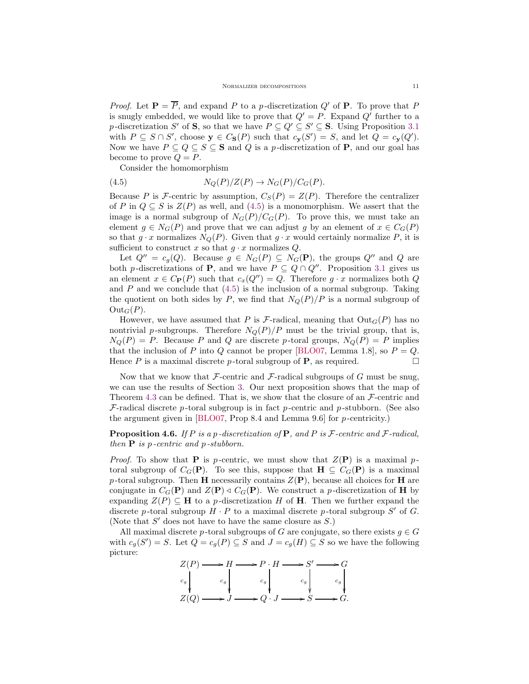*Proof.* Let  $P = \overline{P}$ , and expand P to a p-discretization Q' of P. To prove that P is snugly embedded, we would like to prove that  $Q' = P$ . Expand  $Q'$  further to a p-discretization S' of S, so that we have  $P \subseteq Q' \subseteq S' \subseteq S$ . Using Proposition [3.1](#page-5-3) with  $P \subseteq S \cap S'$ , choose  $y \in C_{\mathbf{S}}(P)$  such that  $c_{\mathbf{y}}(S') = S$ , and let  $Q = c_{\mathbf{y}}(Q')$ . Now we have  $P \subseteq Q \subseteq S \subseteq S$  and Q is a p-discretization of **P**, and our goal has become to prove  $Q = P$ .

<span id="page-10-0"></span>Consider the homomorphism

(4.5) 
$$
N_Q(P)/Z(P) \to N_G(P)/C_G(P).
$$

Because P is F-centric by assumption,  $C_S(P) = Z(P)$ . Therefore the centralizer of P in  $Q \subseteq S$  is  $Z(P)$  as well, and [\(4.5\)](#page-10-0) is a monomorphism. We assert that the image is a normal subgroup of  $N_G(P)/C_G(P)$ . To prove this, we must take an element  $g \in N_G(P)$  and prove that we can adjust g by an element of  $x \in C_G(P)$ so that  $g \cdot x$  normalizes  $N_Q(P)$ . Given that  $g \cdot x$  would certainly normalize P, it is sufficient to construct x so that  $g \cdot x$  normalizes  $Q$ .

Let  $Q'' = c_g(Q)$ . Because  $g \in N_G(P) \subseteq N_G(P)$ , the groups  $Q''$  and Q are both p-discretizations of **P**, and we have  $P \subseteq Q \cap Q''$ . Proposition [3.1](#page-5-3) gives us an element  $x \in C_{\mathbf{P}}(P)$  such that  $c_x(Q'') = Q$ . Therefore  $g \cdot x$  normalizes both Q and  $P$  and we conclude that  $(4.5)$  is the inclusion of a normal subgroup. Taking the quotient on both sides by P, we find that  $N_Q(P)/P$  is a normal subgroup of  $Out_G(P)$ .

However, we have assumed that P is F-radical, meaning that  $Out_G(P)$  has no nontrivial p-subgroups. Therefore  $N_Q(P)/P$  must be the trivial group, that is,  $N_Q(P) = P$ . Because P and Q are discrete p-toral groups,  $N_Q(P) = P$  implies that the inclusion of P into Q cannot be proper [\[BLO07,](#page-16-4) Lemma 1.8], so  $P = Q$ . Hence P is a maximal discrete p-toral subgroup of **P**, as required.  $\Box$ 

Now that we know that  $\mathcal F$ -centric and  $\mathcal F$ -radical subgroups of  $G$  must be snug, we can use the results of Section [3.](#page-5-0) Our next proposition shows that the map of Theorem [4.3](#page-9-0) can be defined. That is, we show that the closure of an  $\mathcal{F}\text{-centric}$  and  $F$ -radical discrete p-toral subgroup is in fact p-centric and p-stubborn. (See also the argument given in  $[BLO07, Prop 8.4 \text{ and Lemma } 9.6]$  for p-centricity.)

# <span id="page-10-1"></span>**Proposition 4.6.** If P is a p-discretization of P, and P is F-centric and F-radical, then  $P$  is p-centric and p-stubborn.

*Proof.* To show that **P** is p-centric, we must show that  $Z(\mathbf{P})$  is a maximal ptoral subgroup of  $C_G(\mathbf{P})$ . To see this, suppose that  $\mathbf{H} \subseteq C_G(\mathbf{P})$  is a maximal p-toral subgroup. Then H necessarily contains  $Z(\mathbf{P})$ , because all choices for H are conjugate in  $C_G(\mathbf{P})$  and  $Z(\mathbf{P}) \triangleleft C_G(\mathbf{P})$ . We construct a p-discretization of **H** by expanding  $Z(P) \subseteq H$  to a p-discretization H of H. Then we further expand the discrete p-toral subgroup  $H \cdot P$  to a maximal discrete p-toral subgroup S' of G. (Note that  $S'$  does not have to have the same closure as  $S$ .)

All maximal discrete p-toral subgroups of G are conjugate, so there exists  $g \in G$ with  $c_g(S') = S$ . Let  $Q = c_g(P) \subseteq S$  and  $J = c_g(H) \subseteq S$  so we have the following picture:

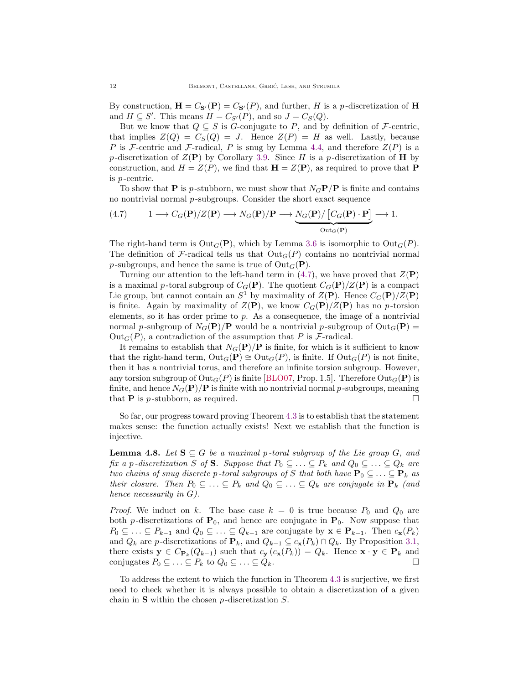By construction,  $\mathbf{H} = C_{\mathbf{S}'}(\mathbf{P}) = C_{\mathbf{S}'}(P)$ , and further, H is a p-discretization of H and  $H \subseteq S'$ . This means  $H = C_{S'}(P)$ , and so  $J = C_S(Q)$ .

But we know that  $Q \subseteq S$  is G-conjugate to P, and by definition of F-centric, that implies  $Z(Q) = C_S(Q) = J$ . Hence  $Z(P) = H$  as well. Lastly, because P is F-centric and F-radical, P is snug by Lemma [4.4,](#page-9-1) and therefore  $Z(P)$  is a p-discretization of  $Z(\mathbf{P})$  by Corollary [3.9.](#page-8-2) Since H is a p-discretization of H by construction, and  $H = Z(P)$ , we find that  $\mathbf{H} = Z(\mathbf{P})$ , as required to prove that **P** is p -centric.

To show that **P** is p-stubborn, we must show that  $N<sub>G</sub>**P**/**P**$  is finite and contains no nontrivial normal  $p$ -subgroups. Consider the short exact sequence

<span id="page-11-0"></span>(4.7) 
$$
1 \longrightarrow C_G(\mathbf{P})/Z(\mathbf{P}) \longrightarrow N_G(\mathbf{P})/\mathbf{P} \longrightarrow \underbrace{N_G(\mathbf{P})/\left[C_G(\mathbf{P})\cdot\mathbf{P}\right]}_{\text{Out}_G(\mathbf{P})} \longrightarrow 1.
$$

The right-hand term is  $Out_G(P)$ , which by Lemma [3.6](#page-7-1) is isomorphic to  $Out_G(P)$ . The definition of F-radical tells us that  $Out_G(P)$  contains no nontrivial normal p-subgroups, and hence the same is true of  $Out_G(P)$ .

Turning our attention to the left-hand term in  $(4.7)$ , we have proved that  $Z(\mathbf{P})$ is a maximal p-toral subgroup of  $C_G(\mathbf{P})$ . The quotient  $C_G(\mathbf{P})/Z(\mathbf{P})$  is a compact Lie group, but cannot contain an  $S^1$  by maximality of  $Z(\mathbf{P})$ . Hence  $C_G(\mathbf{P})/Z(\mathbf{P})$ is finite. Again by maximality of  $Z(\mathbf{P})$ , we know  $C_G(\mathbf{P})/Z(\mathbf{P})$  has no p-torsion elements, so it has order prime to  $p$ . As a consequence, the image of a nontrivial normal p-subgroup of  $N_G(\mathbf{P})/\mathbf{P}$  would be a nontrivial p-subgroup of  $Out_G(\mathbf{P}) =$  $Out_G(P)$ , a contradiction of the assumption that P is F-radical.

It remains to establish that  $N_G(\mathbf{P})/\mathbf{P}$  is finite, for which is it sufficient to know that the right-hand term,  $Out_G(P) \cong Out_G(P)$ , is finite. If  $Out_G(P)$  is not finite, then it has a nontrivial torus, and therefore an infinite torsion subgroup. However, any torsion subgroup of  $\text{Out}_G(P)$  is finite [\[BLO07,](#page-16-4) Prop. 1.5]. Therefore  $\text{Out}_G(P)$  is finite, and hence  $N_G(\mathbf{P})/\mathbf{P}$  is finite with no nontrivial normal p-subgroups, meaning that **P** is *p*-stubborn, as required.  $\square$ 

So far, our progress toward proving Theorem [4.3](#page-9-0) is to establish that the statement makes sense: the function actually exists! Next we establish that the function is injective.

<span id="page-11-1"></span>**Lemma 4.8.** Let  $S \subseteq G$  be a maximal p-toral subgroup of the Lie group G, and fix a p-discretization S of S. Suppose that  $P_0 \subseteq \ldots \subseteq P_k$  and  $Q_0 \subseteq \ldots \subseteq Q_k$  are two chains of snug discrete p-toral subgroups of S that both have  $\mathbf{P}_0 \subseteq \ldots \subseteq \mathbf{P}_k$  as their closure. Then  $P_0 \subseteq \ldots \subseteq P_k$  and  $Q_0 \subseteq \ldots \subseteq Q_k$  are conjugate in  $\mathbf{P}_k$  (and hence necessarily in G).

*Proof.* We induct on k. The base case  $k = 0$  is true because  $P_0$  and  $Q_0$  are both p-discretizations of  $P_0$ , and hence are conjugate in  $P_0$ . Now suppose that  $P_0 \subseteq \ldots \subseteq P_{k-1}$  and  $Q_0 \subseteq \ldots \subseteq Q_{k-1}$  are conjugate by  $\mathbf{x} \in \mathbf{P}_{k-1}$ . Then  $c_{\mathbf{x}}(P_k)$ and  $Q_k$  are p-discretizations of  $\mathbf{P}_k$ , and  $Q_{k-1} \subseteq c_{\mathbf{x}}(P_k) \cap Q_k$ . By Proposition [3.1,](#page-5-3) there exists  $y \in C_{\mathbf{P}_k}(Q_{k-1})$  such that  $c_{\mathbf{y}}(c_{\mathbf{x}}(P_k)) = Q_k$ . Hence  $\mathbf{x} \cdot \mathbf{y} \in \mathbf{P}_k$  and conjugates  $P_0 \subseteq \ldots \subseteq P_k$  to  $Q_0 \subseteq \ldots \subseteq Q_k$ .

To address the extent to which the function in Theorem [4.3](#page-9-0) is surjective, we first need to check whether it is always possible to obtain a discretization of a given chain in  $S$  within the chosen  $p$ -discretization  $S$ .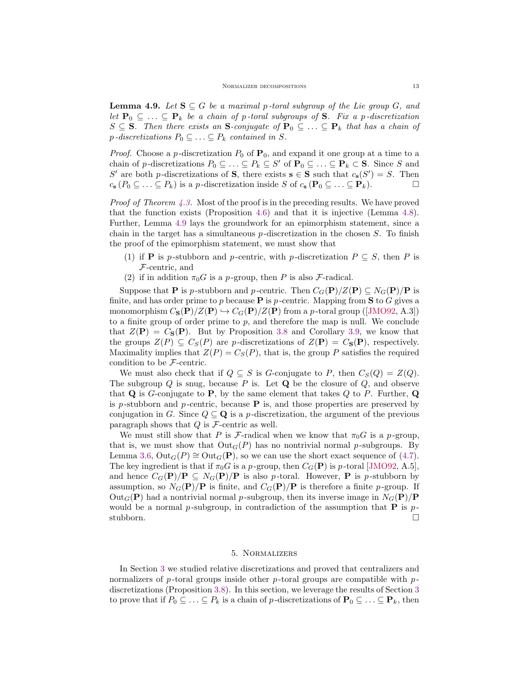<span id="page-12-1"></span>**Lemma 4.9.** Let  $S \subseteq G$  be a maximal p-toral subgroup of the Lie group G, and let  $\mathbf{P}_0 \subseteq \ldots \subseteq \mathbf{P}_k$  be a chain of p-toral subgroups of S. Fix a p-discretization  $S \subseteq S$ . Then there exists an S-conjugate of  $P_0 \subseteq \ldots \subseteq P_k$  that has a chain of  $p$ -discretizations  $P_0 \subseteq \ldots \subseteq P_k$  contained in S.

*Proof.* Choose a p-discretization  $P_0$  of  $P_0$ , and expand it one group at a time to a chain of p-discretizations  $P_0 \subseteq \ldots \subseteq P_k \subseteq S'$  of  $\mathbf{P}_0 \subseteq \ldots \subseteq \mathbf{P}_k \subset \mathbf{S}$ . Since S and S' are both p-discretizations of **S**, there exists  $\mathbf{s} \in \mathbf{S}$  such that  $c_{\mathbf{s}}(S') = S$ . Then  $c_{\mathbf{s}}(P_0 \subseteq \ldots \subseteq P_k)$  is a p-discretization inside S of  $c_{\mathbf{s}}(\mathbf{P}_0 \subseteq \ldots \subseteq \mathbf{P}_k)$ .

*Proof of Theorem [4.3.](#page-9-0)* Most of the proof is in the preceding results. We have proved that the function exists (Proposition [4.6\)](#page-10-1) and that it is injective (Lemma [4.8\)](#page-11-1). Further, Lemma [4.9](#page-12-1) lays the groundwork for an epimorphism statement, since a chain in the target has a simultaneous  $p$ -discretization in the chosen  $S$ . To finish the proof of the epimorphism statement, we must show that

- (1) if **P** is p-stubborn and p-centric, with p-discretization  $P \subseteq S$ , then P is F-centric, and
- (2) if in addition  $\pi_0 G$  is a p-group, then P is also F-radical.

Suppose that **P** is p-stubborn and p-centric. Then  $C_G(\mathbf{P})/Z(\mathbf{P}) \subseteq N_G(\mathbf{P})/\mathbf{P}$  is finite, and has order prime to p because  $P$  is p-centric. Mapping from S to G gives a monomorphism  $C_{\mathbf{S}}(\mathbf{P})/Z(\mathbf{P}) \hookrightarrow C_G(\mathbf{P})/Z(\mathbf{P})$  from a p-toral group ([\[JMO92,](#page-16-2) A.3]) to a finite group of order prime to  $p$ , and therefore the map is null. We conclude that  $Z(\mathbf{P}) = C_{\mathbf{S}}(\mathbf{P})$ . But by Proposition [3.8](#page-7-2) and Corollary [3.9,](#page-8-2) we know that the groups  $Z(P) \subseteq C_S(P)$  are p-discretizations of  $Z(\mathbf{P}) = C_S(\mathbf{P})$ , respectively. Maximality implies that  $Z(P) = C<sub>S</sub>(P)$ , that is, the group P satisfies the required condition to be F-centric.

We must also check that if  $Q \subseteq S$  is G-conjugate to P, then  $C_S(Q) = Z(Q)$ . The subgroup  $Q$  is snug, because  $P$  is. Let  $Q$  be the closure of  $Q$ , and observe that  $\bf{Q}$  is G-conjugate to  $\bf{P}$ , by the same element that takes  $Q$  to  $P$ . Further,  $\bf{Q}$ is p-stubborn and p-centric, because  $P$  is, and those properties are preserved by conjugation in G. Since  $Q \subseteq \mathbf{Q}$  is a p-discretization, the argument of the previous paragraph shows that  $Q$  is  $\mathcal F$ -centric as well.

We must still show that P is F-radical when we know that  $\pi_0 G$  is a p-group, that is, we must show that  $Out_G(P)$  has no nontrivial normal p-subgroups. By Lemma [3.6,](#page-7-1)  $Out_G(P) \cong Out_G(\mathbf{P})$ , so we can use the short exact sequence of [\(4.7\)](#page-11-0). The key ingredient is that if  $\pi_0 G$  is a p-group, then  $C_G(\mathbf{P})$  is p-toral [\[JMO92,](#page-16-2) A.5], and hence  $C_G(\mathbf{P})/\mathbf{P} \subseteq N_G(\mathbf{P})/\mathbf{P}$  is also p-toral. However, **P** is p-stubborn by assumption, so  $N_G(\mathbf{P})/\mathbf{P}$  is finite, and  $C_G(\mathbf{P})/\mathbf{P}$  is therefore a finite p-group. If  $Out_G(P)$  had a nontrivial normal p-subgroup, then its inverse image in  $N_G(P)/P$ would be a normal p-subgroup, in contradiction of the assumption that  $P$  is pstubborn.

#### 5. Normalizers

<span id="page-12-0"></span>In Section [3](#page-5-0) we studied relative discretizations and proved that centralizers and normalizers of p-toral groups inside other p-toral groups are compatible with  $p$ discretizations (Proposition [3.8\)](#page-7-2). In this section, we leverage the results of Section [3](#page-5-0) to prove that if  $P_0 \subseteq \ldots \subseteq P_k$  is a chain of p-discretizations of  $\mathbf{P}_0 \subseteq \ldots \subseteq \mathbf{P}_k$ , then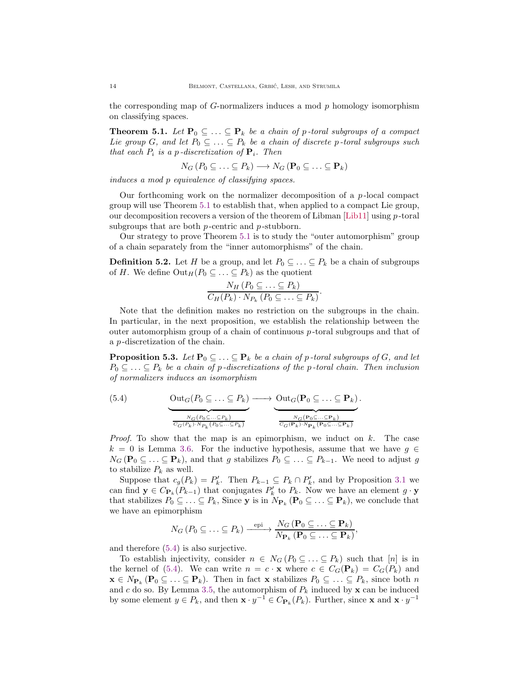the corresponding map of  $G$ -normalizers induces a mod  $p$  homology isomorphism on classifying spaces.

<span id="page-13-0"></span>**Theorem 5.1.** Let  $\mathbf{P}_0 \subseteq \ldots \subseteq \mathbf{P}_k$  be a chain of p-toral subgroups of a compact Lie group G, and let  $P_0 \subseteq \ldots \subseteq P_k$  be a chain of discrete p-toral subgroups such that each  $P_i$  is a p-discretization of  $\mathbf{P}_i$ . Then

$$
N_G(P_0 \subseteq \ldots \subseteq P_k) \longrightarrow N_G(\mathbf{P}_0 \subseteq \ldots \subseteq \mathbf{P}_k)
$$

induces a mod p equivalence of classifying spaces.

Our forthcoming work on the normalizer decomposition of a  $p$ -local compact group will use Theorem [5.1](#page-13-0) to establish that, when applied to a compact Lie group, our decomposition recovers a version of the theorem of Libman  $[Lib11]$  using p-toral subgroups that are both  $p$ -centric and  $p$ -stubborn.

Our strategy to prove Theorem [5.1](#page-13-0) is to study the "outer automorphism" group of a chain separately from the "inner automorphisms" of the chain.

<span id="page-13-1"></span>**Definition 5.2.** Let H be a group, and let  $P_0 \subseteq \ldots \subseteq P_k$  be a chain of subgroups of H. We define  $\text{Out}_H(P_0 \subseteq \ldots \subseteq P_k)$  as the quotient

$$
\frac{N_H(P_0 \subseteq \ldots \subseteq P_k)}{C_H(P_k) \cdot N_{P_k}(P_0 \subseteq \ldots \subseteq P_k)}.
$$

Note that the definition makes no restriction on the subgroups in the chain. In particular, in the next proposition, we establish the relationship between the outer automorphism group of a chain of continuous p -toral subgroups and that of a p -discretization of the chain.

<span id="page-13-2"></span>**Proposition 5.3.** Let  $\mathbf{P}_0 \subseteq \ldots \subseteq \mathbf{P}_k$  be a chain of p-toral subgroups of G, and let  $P_0 \subseteq \ldots \subseteq P_k$  be a chain of p-discretizations of the p-toral chain. Then inclusion of normalizers induces an isomorphism

<span id="page-13-3"></span>(5.4) 
$$
\underbrace{\text{Out}_G(P_0 \subseteq \dots \subseteq P_k)}_{\overbrace{C_G(P_k) \cdot N_{P_k}(P_0 \subseteq \dots \subseteq P_k)}} \longrightarrow \underbrace{\text{Out}_G(\mathbf{P}_0 \subseteq \dots \subseteq \mathbf{P}_k)}_{\overbrace{C_G(\mathbf{P}_k) \cdot N_{\mathbf{P}_k}(\mathbf{P}_0 \subseteq \dots \subseteq \mathbf{P}_k)}}.
$$

*Proof.* To show that the map is an epimorphism, we induct on  $k$ . The case  $k = 0$  is Lemma [3.6.](#page-7-1) For the inductive hypothesis, assume that we have  $g \in$  $N_G(\mathbf{P}_0 \subseteq \ldots \subseteq \mathbf{P}_k)$ , and that g stabilizes  $P_0 \subseteq \ldots \subseteq P_{k-1}$ . We need to adjust g to stabilize  $P_k$  as well.

Suppose that  $c_g(P_k) = P'_k$ . Then  $P_{k-1} \subseteq P_k \cap P'_k$ , and by Proposition [3.1](#page-5-3) we can find  $\mathbf{y} \in C_{\mathbf{P}_k}(P_{k-1})$  that conjugates  $P'_k$  to  $P_k$ . Now we have an element  $g \cdot \mathbf{y}$ that stabilizes  $P_0 \subseteq \ldots \subseteq P_k$ , Since y is in  $N_{\mathbf{P}_k}(\mathbf{P}_0 \subseteq \ldots \subseteq \mathbf{P}_k)$ , we conclude that we have an epimorphism

$$
N_G(P_0 \subseteq \ldots \subseteq P_k) \xrightarrow{\text{epi}} \frac{N_G(\mathbf{P}_0 \subseteq \ldots \subseteq \mathbf{P}_k)}{N_{\mathbf{P}_k}(\mathbf{P}_0 \subseteq \ldots \subseteq \mathbf{P}_k)},
$$

and therefore [\(5.4\)](#page-13-3) is also surjective.

To establish injectivity, consider  $n \in N_G(P_0 \subseteq \ldots \subseteq P_k)$  such that  $[n]$  is in the kernel of [\(5.4\)](#page-13-3). We can write  $n = c \cdot \mathbf{x}$  where  $c \in C_G(\mathbf{P}_k) = C_G(P_k)$  and  $\mathbf{x} \in N_{\mathbf{P}_k}(\mathbf{P}_0 \subseteq \ldots \subseteq \mathbf{P}_k)$ . Then in fact  $\mathbf{x}$  stabilizes  $P_0 \subseteq \ldots \subseteq P_k$ , since both n and c do so. By Lemma [3.5,](#page-6-0) the automorphism of  $P_k$  induced by  $\mathbf x$  can be induced by some element  $y \in P_k$ , and then  $\mathbf{x} \cdot y^{-1} \in C_{\mathbf{P}_k}(P_k)$ . Further, since  $\mathbf{x}$  and  $\mathbf{x} \cdot y^{-1}$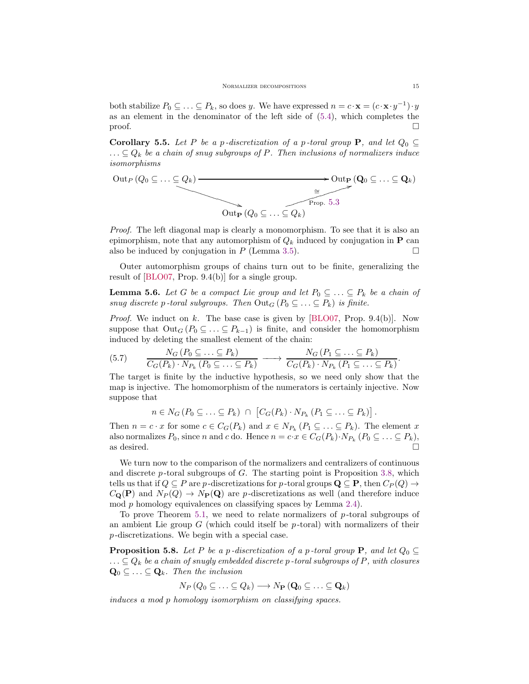both stabilize  $P_0 \subseteq \ldots \subseteq P_k$ , so does y. We have expressed  $n = c \cdot \mathbf{x} = (c \cdot \mathbf{x} \cdot y^{-1}) \cdot y$ as an element in the denominator of the left side of [\(5.4\)](#page-13-3), which completes the  $\Box$ 

<span id="page-14-1"></span>Corollary 5.5. Let P be a p-discretization of a p-toral group P, and let  $Q_0 \subseteq$  $\ldots \subseteq Q_k$  be a chain of snug subgroups of P. Then inclusions of normalizers induce isomorphisms

$$
\begin{array}{c}\n\text{Out}_P(Q_0 \subseteq \ldots \subseteq Q_k) \longrightarrow \\
\hline\n\text{Out}_P(Q_0 \subseteq \ldots \subseteq Q_k) \\
\hline\n\text{Out}_P(Q_0 \subseteq \ldots \subseteq Q_k)\n\end{array}
$$

Proof. The left diagonal map is clearly a monomorphism. To see that it is also an epimorphism, note that any automorphism of  $Q_k$  induced by conjugation in **P** can also be induced by conjugation in  $P$  (Lemma [3.5\)](#page-6-0).

Outer automorphism groups of chains turn out to be finite, generalizing the result of [\[BLO07,](#page-16-4) Prop. 9.4(b)] for a single group.

<span id="page-14-0"></span>**Lemma 5.6.** Let G be a compact Lie group and let  $P_0 \subseteq \ldots \subseteq P_k$  be a chain of snug discrete p-toral subgroups. Then  $Out_G(P_0 \subseteq ... \subseteq P_k)$  is finite.

*Proof.* We induct on k. The base case is given by  $[BLO07, Prop. 9.4(b)].$  Now suppose that  $Out_G(P_0 \subseteq ... \subseteq P_{k-1})$  is finite, and consider the homomorphism induced by deleting the smallest element of the chain:

$$
(5.7) \qquad \frac{N_G(P_0 \subseteq \ldots \subseteq P_k)}{C_G(P_k) \cdot N_{P_k}(P_0 \subseteq \ldots \subseteq P_k)} \longrightarrow \frac{N_G(P_1 \subseteq \ldots \subseteq P_k)}{C_G(P_k) \cdot N_{P_k}(P_1 \subseteq \ldots \subseteq P_k)}
$$

The target is finite by the inductive hypothesis, so we need only show that the map is injective. The homomorphism of the numerators is certainly injective. Now suppose that

$$
n \in N_G(P_0 \subseteq \ldots \subseteq P_k) \cap [C_G(P_k) \cdot N_{P_k}(P_1 \subseteq \ldots \subseteq P_k)].
$$

Then  $n = c \cdot x$  for some  $c \in C_G(P_k)$  and  $x \in N_{P_k}(P_1 \subseteq \ldots \subseteq P_k)$ . The element x also normalizes  $P_0$ , since n and c do. Hence  $n = c \cdot x \in C_G(P_k) \cdot N_{P_k} (P_0 \subseteq \ldots \subseteq P_k)$ , as desired.  $\square$ 

We turn now to the comparison of the normalizers and centralizers of continuous and discrete  $p$ -toral subgroups of  $G$ . The starting point is Proposition [3.8,](#page-7-2) which tells us that if  $Q \subseteq P$  are p-discretizations for p-toral groups  $\mathbf{Q} \subseteq \mathbf{P}$ , then  $C_P(Q) \to$  $C_{\mathbf{Q}}(\mathbf{P})$  and  $N_P(Q) \to N_P(\mathbf{Q})$  are p-discretizations as well (and therefore induce mod p homology equivalences on classifying spaces by Lemma [2.4\)](#page-4-4).

To prove Theorem [5.1,](#page-13-0) we need to relate normalizers of  $p$ -toral subgroups of an ambient Lie group  $G$  (which could itself be  $p$ -toral) with normalizers of their p -discretizations. We begin with a special case.

<span id="page-14-2"></span>**Proposition 5.8.** Let P be a p-discretization of a p-toral group P, and let  $Q_0 \subseteq$  $\ldots \subseteq Q_k$  be a chain of snugly embedded discrete p-toral subgroups of P, with closures  $\mathbf{Q}_0 \subseteq \ldots \subseteq \mathbf{Q}_k$ . Then the inclusion

$$
N_P(Q_0 \subseteq \ldots \subseteq Q_k) \longrightarrow N_P(\mathbf{Q}_0 \subseteq \ldots \subseteq \mathbf{Q}_k)
$$

induces a mod p homology isomorphism on classifying spaces.

.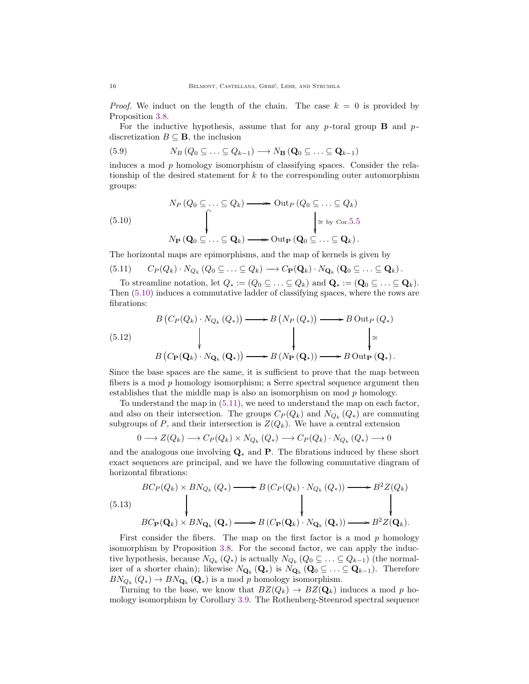*Proof.* We induct on the length of the chain. The case  $k = 0$  is provided by Proposition [3.8.](#page-7-2)

For the inductive hypothesis, assume that for any  $p$ -toral group **B** and  $p$ discretization  $B \subseteq \mathbf{B}$ , the inclusion

(5.9) 
$$
N_B(Q_0 \subseteq \ldots \subseteq Q_{k-1}) \longrightarrow N_B(\mathbf{Q}_0 \subseteq \ldots \subseteq \mathbf{Q}_{k-1})
$$

induces a mod  $p$  homology isomorphism of classifying spaces. Consider the relationship of the desired statement for  $k$  to the corresponding outer automorphism groups:

<span id="page-15-0"></span>(5.10)  
\n
$$
N_P(Q_0 \subseteq \ldots \subseteq Q_k) \longrightarrow \text{Out}_P(Q_0 \subseteq \ldots \subseteq Q_k)
$$
\n
$$
\downarrow \cong \text{by Cor.5.5}
$$
\n
$$
N_P(Q_0 \subseteq \ldots \subseteq Q_k) \longrightarrow \text{Out}_P(Q_0 \subseteq \ldots \subseteq Q_k).
$$

The horizontal maps are epimorphisms, and the map of kernels is given by

<span id="page-15-1"></span>
$$
(5.11) \tC_P(Q_k) \t\cdot N_{Q_k}(Q_0 \subseteq \ldots \subseteq Q_k) \longrightarrow C_P(\mathbf{Q}_k) \cdot N_{\mathbf{Q}_k}(\mathbf{Q}_0 \subseteq \ldots \subseteq \mathbf{Q}_k).
$$

To streamline notation, let  $Q_* := (Q_0 \subseteq \ldots \subseteq Q_k)$  and  $\mathbf{Q}_* := (\mathbf{Q}_0 \subseteq \ldots \subseteq \mathbf{Q}_k)$ . Then [\(5.10\)](#page-15-0) induces a commutative ladder of classifying spaces, where the rows are fibrations:

<span id="page-15-3"></span>
$$
\begin{array}{ccc}\n & B\left(C_{P}(Q_{k}) \cdot N_{Q_{k}}\left(Q_{*}\right)\right) \longrightarrow B\left(N_{P}\left(Q_{*}\right)\right) \longrightarrow B\text{ Out}_{P}\left(Q_{*}\right) \\
 & & \downarrow & \downarrow \\
 & B\left(C_{P}(\mathbf{Q}_{k}) \cdot N_{\mathbf{Q}_{k}}\left(\mathbf{Q}_{*}\right)\right) \longrightarrow B\left(N_{P}\left(\mathbf{Q}_{*}\right)\right) \longrightarrow B\text{ Out}_{P}\left(\mathbf{Q}_{*}\right).\n\end{array}
$$

Since the base spaces are the same, it is sufficient to prove that the map between fibers is a mod p homology isomorphism; a Serre spectral sequence argument then establishes that the middle map is also an isomorphism on mod  $p$  homology.

To understand the map in [\(5.11\)](#page-15-1), we need to understand the map on each factor, and also on their intersection. The groups  $C_P(Q_k)$  and  $N_{Q_k}(Q_*)$  are commuting subgroups of P, and their intersection is  $Z(Q_k)$ . We have a central extension

$$
0 \longrightarrow Z(Q_k) \longrightarrow C_P(Q_k) \times N_{Q_k}(Q_*) \longrightarrow C_P(Q_k) \cdot N_{Q_k}(Q_*) \longrightarrow 0
$$

and the analogous one involving  $\mathbf{Q}_{*}$  and P. The fibrations induced by these short exact sequences are principal, and we have the following commutative diagram of horizontal fibrations:

<span id="page-15-2"></span>
$$
(5.13)
$$
\n
$$
BC_{P}(Q_{k}) \times BN_{Q_{k}}(Q_{*}) \longrightarrow B (C_{P}(Q_{k}) \cdot N_{Q_{k}}(Q_{*})) \longrightarrow B^{2}Z(Q_{k})
$$
\n
$$
BC_{P}(Q_{k}) \times BN_{Q_{k}}(Q_{*}) \longrightarrow B (C_{P}(Q_{k}) \cdot N_{Q_{k}}(Q_{*})) \longrightarrow B^{2}Z(Q_{k}).
$$

First consider the fibers. The map on the first factor is a mod  $p$  homology isomorphism by Proposition [3.8.](#page-7-2) For the second factor, we can apply the inductive hypothesis, because  $N_{Q_k}(Q_*)$  is actually  $N_{Q_k}(Q_0 \subseteq \ldots \subseteq Q_{k-1})$  (the normalizer of a shorter chain); likewise  $N_{\mathbf{Q}_k}(\mathbf{Q}_*)$  is  $N_{\mathbf{Q}_k}(\mathbf{Q}_0 \subseteq \ldots \subseteq \mathbf{Q}_{k-1})$ . Therefore  $BN_{Q_k}(Q_*) \to BN_{\mathbf{Q}_k}(\mathbf{Q}_*)$  is a mod p homology isomorphism.

Turning to the base, we know that  $BZ(Q_k) \to BZ(\mathbf{Q}_k)$  induces a mod p homology isomorphism by Corollary [3.9.](#page-8-2) The Rothenberg-Steenrod spectral sequence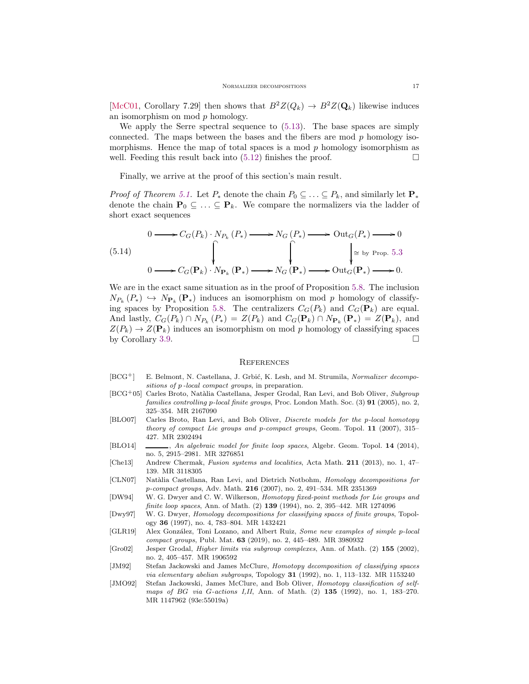[\[McC01,](#page-17-7) Corollary 7.29] then shows that  $B^2Z(Q_k) \to B^2Z(Q_k)$  likewise induces an isomorphism on mod p homology.

We apply the Serre spectral sequence to [\(5.13\)](#page-15-2). The base spaces are simply connected. The maps between the bases and the fibers are mod  $p$  homology isomorphisms. Hence the map of total spaces is a mod  $p$  homology isomorphism as well. Feeding this result back into  $(5.12)$  finishes the proof.

Finally, we arrive at the proof of this section's main result.

*Proof of Theorem [5.1.](#page-13-0)* Let  $P_*$  denote the chain  $P_0 \subseteq \ldots \subseteq P_k$ , and similarly let  $\mathbf{P}_*$ denote the chain  $\mathbf{P}_0 \subseteq \ldots \subseteq \mathbf{P}_k$ . We compare the normalizers via the ladder of short exact sequences

<span id="page-16-12"></span>
$$
\begin{array}{ccc}\n & 0 \longrightarrow C_G(P_k) \cdot N_{P_k}(P_*) \longrightarrow N_G(P_*) \longrightarrow \text{Out}_G(P_*) \longrightarrow 0 \\
 & \downarrow & \downarrow \\
 & 0 \longrightarrow C_G(\mathbf{P}_k) \cdot N_{\mathbf{P}_k}(\mathbf{P}_*) \longrightarrow N_G(\mathbf{P}_*) \longrightarrow \text{Out}_G(\mathbf{P}_*) \longrightarrow 0.\n\end{array}
$$

We are in the exact same situation as in the proof of Proposition [5.8.](#page-14-2) The inclusion  $N_{P_{k}}(P_{*}) \hookrightarrow N_{\mathbf{P}_{k}}(\mathbf{P}_{*})$  induces an isomorphism on mod p homology of classify-ing spaces by Proposition [5.8.](#page-14-2) The centralizers  $C_G(P_k)$  and  $C_G(\mathbf{P}_k)$  are equal. And lastly,  $C_G(P_k) \cap N_{P_k}(P_*) = Z(P_k)$  and  $C_G(\mathbf{P}_k) \cap N_{\mathbf{P}_k}(\mathbf{P}_*) = Z(\mathbf{P}_k)$ , and  $Z(P_k) \to Z(\mathbf{P}_k)$  induces an isomorphism on mod p homology of classifying spaces by Corollary [3.9.](#page-8-2)

### **REFERENCES**

- <span id="page-16-9"></span>[BCG<sup>+</sup>] E. Belmont, N. Castellana, J. Grbić, K. Lesh, and M. Strumila, Normalizer decompositions of p-local compact groups, in preparation.
- <span id="page-16-11"></span>[BCG+05] Carles Broto, Natàlia Castellana, Jesper Grodal, Ran Levi, and Bob Oliver, Subgroup families controlling p-local finite groups, Proc. London Math. Soc. (3) 91 (2005), no. 2, 325–354. MR 2167090
- <span id="page-16-4"></span>[BLO07] Carles Broto, Ran Levi, and Bob Oliver, Discrete models for the p-local homotopy theory of compact Lie groups and p-compact groups, Geom. Topol. 11 (2007), 315– 427. MR 2302494
- <span id="page-16-5"></span>[BLO14] , An algebraic model for finite loop spaces, Algebr. Geom. Topol. 14 (2014), no. 5, 2915–2981. MR 3276851
- <span id="page-16-6"></span>[Che13] Andrew Chermak, Fusion systems and localities, Acta Math. 211 (2013), no. 1, 47– 139. MR 3118305
- <span id="page-16-3"></span>[CLN07] Natàlia Castellana, Ran Levi, and Dietrich Notbohm, Homology decompositions for p-compact groups, Adv. Math. 216 (2007), no. 2, 491–534. MR 2351369
- <span id="page-16-7"></span>[DW94] W. G. Dwyer and C. W. Wilkerson, Homotopy fixed-point methods for Lie groups and finite loop spaces, Ann. of Math. (2) 139 (1994), no. 2, 395-442. MR 1274096
- <span id="page-16-0"></span>[Dwy97] W. G. Dwyer, Homology decompositions for classifying spaces of finite groups, Topology 36 (1997), no. 4, 783–804. MR 1432421
- <span id="page-16-8"></span>[GLR19] Alex González, Toni Lozano, and Albert Ruiz, Some new examples of simple p-local compact groups, Publ. Mat. 63 (2019), no. 2, 445–489. MR 3980932
- <span id="page-16-10"></span>[Gro02] Jesper Grodal, Higher limits via subgroup complexes, Ann. of Math. (2) 155 (2002), no. 2, 405–457. MR 1906592
- <span id="page-16-1"></span>[JM92] Stefan Jackowski and James McClure, Homotopy decomposition of classifying spaces via elementary abelian subgroups, Topology  $31$  (1992), no. 1, 113–132. MR 1153240
- <span id="page-16-2"></span>[JMO92] Stefan Jackowski, James McClure, and Bob Oliver, Homotopy classification of selfmaps of BG via G-actions I, II, Ann. of Math. (2) 135 (1992), no. 1, 183-270. MR 1147962 (93e:55019a)